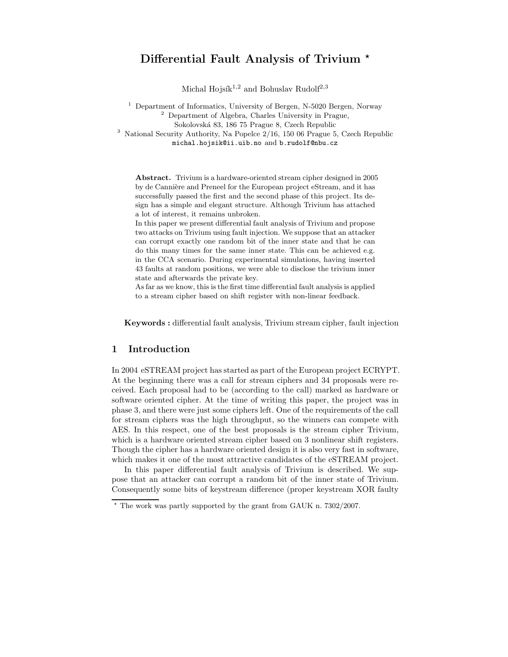# Differential Fault Analysis of Trivium  $\star$

Michal Hojsík<sup>1,2</sup> and Bohuslav Rudolf<sup>2,3</sup>

<sup>1</sup> Department of Informatics, University of Bergen, N-5020 Bergen, Norway <sup>2</sup> Department of Algebra, Charles University in Prague, Sokolovsk´a 83, 186 75 Prague 8, Czech Republic <sup>3</sup> National Security Authority, Na Popelce 2/16, 150 06 Prague 5, Czech Republic

michal.hojsik@ii.uib.no and b.rudolf@nbu.cz

Abstract. Trivium is a hardware-oriented stream cipher designed in 2005 by de Cannière and Preneel for the European project eStream, and it has successfully passed the first and the second phase of this project. Its design has a simple and elegant structure. Although Trivium has attached a lot of interest, it remains unbroken.

In this paper we present differential fault analysis of Trivium and propose two attacks on Trivium using fault injection. We suppose that an attacker can corrupt exactly one random bit of the inner state and that he can do this many times for the same inner state. This can be achieved e.g. in the CCA scenario. During experimental simulations, having inserted 43 faults at random positions, we were able to disclose the trivium inner state and afterwards the private key.

As far as we know, this is the first time differential fault analysis is applied to a stream cipher based on shift register with non-linear feedback.

Keywords : differential fault analysis, Trivium stream cipher, fault injection

# 1 Introduction

In 2004 eSTREAM project has started as part of the European project ECRYPT. At the beginning there was a call for stream ciphers and 34 proposals were received. Each proposal had to be (according to the call) marked as hardware or software oriented cipher. At the time of writing this paper, the project was in phase 3, and there were just some ciphers left. One of the requirements of the call for stream ciphers was the high throughput, so the winners can compete with AES. In this respect, one of the best proposals is the stream cipher Trivium, which is a hardware oriented stream cipher based on 3 nonlinear shift registers. Though the cipher has a hardware oriented design it is also very fast in software, which makes it one of the most attractive candidates of the eSTREAM project.

In this paper differential fault analysis of Trivium is described. We suppose that an attacker can corrupt a random bit of the inner state of Trivium. Consequently some bits of keystream difference (proper keystream XOR faulty

 $\star$  The work was partly supported by the grant from GAUK n. 7302/2007.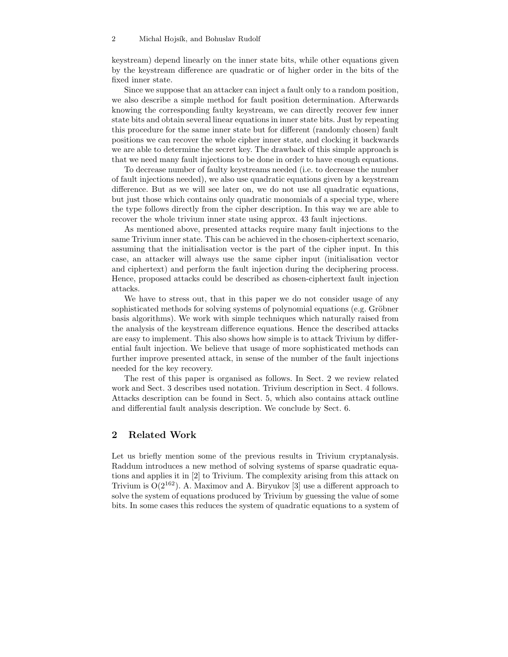keystream) depend linearly on the inner state bits, while other equations given by the keystream difference are quadratic or of higher order in the bits of the fixed inner state.

Since we suppose that an attacker can inject a fault only to a random position, we also describe a simple method for fault position determination. Afterwards knowing the corresponding faulty keystream, we can directly recover few inner state bits and obtain several linear equations in inner state bits. Just by repeating this procedure for the same inner state but for different (randomly chosen) fault positions we can recover the whole cipher inner state, and clocking it backwards we are able to determine the secret key. The drawback of this simple approach is that we need many fault injections to be done in order to have enough equations.

To decrease number of faulty keystreams needed (i.e. to decrease the number of fault injections needed), we also use quadratic equations given by a keystream difference. But as we will see later on, we do not use all quadratic equations, but just those which contains only quadratic monomials of a special type, where the type follows directly from the cipher description. In this way we are able to recover the whole trivium inner state using approx. 43 fault injections.

As mentioned above, presented attacks require many fault injections to the same Trivium inner state. This can be achieved in the chosen-ciphertext scenario, assuming that the initialisation vector is the part of the cipher input. In this case, an attacker will always use the same cipher input (initialisation vector and ciphertext) and perform the fault injection during the deciphering process. Hence, proposed attacks could be described as chosen-ciphertext fault injection attacks.

We have to stress out, that in this paper we do not consider usage of any sophisticated methods for solving systems of polynomial equations (e.g. Gröbner basis algorithms). We work with simple techniques which naturally raised from the analysis of the keystream difference equations. Hence the described attacks are easy to implement. This also shows how simple is to attack Trivium by differential fault injection. We believe that usage of more sophisticated methods can further improve presented attack, in sense of the number of the fault injections needed for the key recovery.

The rest of this paper is organised as follows. In Sect. 2 we review related work and Sect. 3 describes used notation. Trivium description in Sect. 4 follows. Attacks description can be found in Sect. 5, which also contains attack outline and differential fault analysis description. We conclude by Sect. 6.

## 2 Related Work

Let us briefly mention some of the previous results in Trivium cryptanalysis. Raddum introduces a new method of solving systems of sparse quadratic equations and applies it in [2] to Trivium. The complexity arising from this attack on Trivium is  $O(2^{162})$ . A. Maximov and A. Biryukov [3] use a different approach to solve the system of equations produced by Trivium by guessing the value of some bits. In some cases this reduces the system of quadratic equations to a system of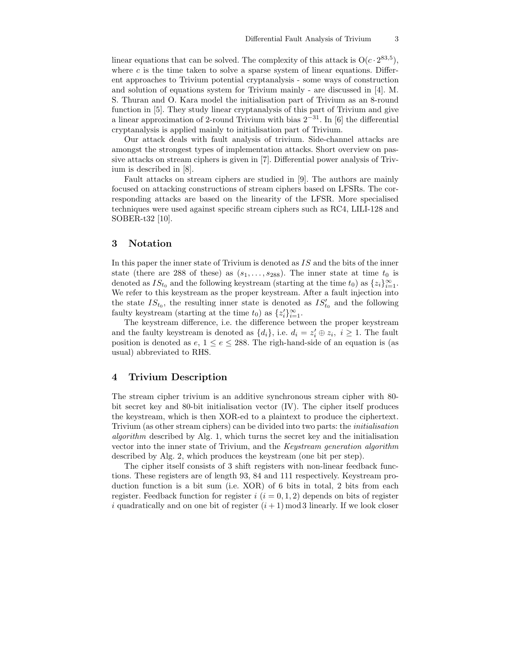linear equations that can be solved. The complexity of this attack is  $O(c \cdot 2^{83,5})$ , where  $c$  is the time taken to solve a sparse system of linear equations. Different approaches to Trivium potential cryptanalysis - some ways of construction and solution of equations system for Trivium mainly - are discussed in [4]. M. S. Thuran and O. Kara model the initialisation part of Trivium as an 8-round function in [5]. They study linear cryptanalysis of this part of Trivium and give a linear approximation of 2-round Trivium with bias  $2^{-31}$ . In [6] the differential cryptanalysis is applied mainly to initialisation part of Trivium.

Our attack deals with fault analysis of trivium. Side-channel attacks are amongst the strongest types of implementation attacks. Short overview on passive attacks on stream ciphers is given in [7]. Differential power analysis of Trivium is described in [8].

Fault attacks on stream ciphers are studied in [9]. The authors are mainly focused on attacking constructions of stream ciphers based on LFSRs. The corresponding attacks are based on the linearity of the LFSR. More specialised techniques were used against specific stream ciphers such as RC4, LILI-128 and SOBER-t32 [10].

## 3 Notation

In this paper the inner state of Trivium is denoted as IS and the bits of the inner state (there are 288 of these) as  $(s_1, \ldots, s_{288})$ . The inner state at time  $t_0$  is denoted as  $IS_{t_0}$  and the following keystream (starting at the time  $t_0$ ) as  $\{z_i\}_{i=1}^{\infty}$ . We refer to this keystream as the proper keystream. After a fault injection into the state  $IS_{t_0}$ , the resulting inner state is denoted as  $IS'_{t_0}$  and the following faulty keystream (starting at the time  $t_0$ ) as  $\{z_i'\}_{i=1}^{\infty}$ .

The keystream difference, i.e. the difference between the proper keystream and the faulty keystream is denoted as  $\{d_i\}$ , i.e.  $d_i = z_i' \oplus z_i$ ,  $i \geq 1$ . The fault position is denoted as  $e, 1 \le e \le 288$ . The righ-hand-side of an equation is (as usual) abbreviated to RHS.

## 4 Trivium Description

The stream cipher trivium is an additive synchronous stream cipher with 80 bit secret key and 80-bit initialisation vector (IV). The cipher itself produces the keystream, which is then XOR-ed to a plaintext to produce the ciphertext. Trivium (as other stream ciphers) can be divided into two parts: the initialisation algorithm described by Alg. 1, which turns the secret key and the initialisation vector into the inner state of Trivium, and the Keystream generation algorithm described by Alg. 2, which produces the keystream (one bit per step).

The cipher itself consists of 3 shift registers with non-linear feedback functions. These registers are of length 93, 84 and 111 respectively. Keystream production function is a bit sum (i.e. XOR) of 6 bits in total, 2 bits from each register. Feedback function for register  $i$   $(i = 0, 1, 2)$  depends on bits of register i quadratically and on one bit of register  $(i + 1)$  mod 3 linearly. If we look closer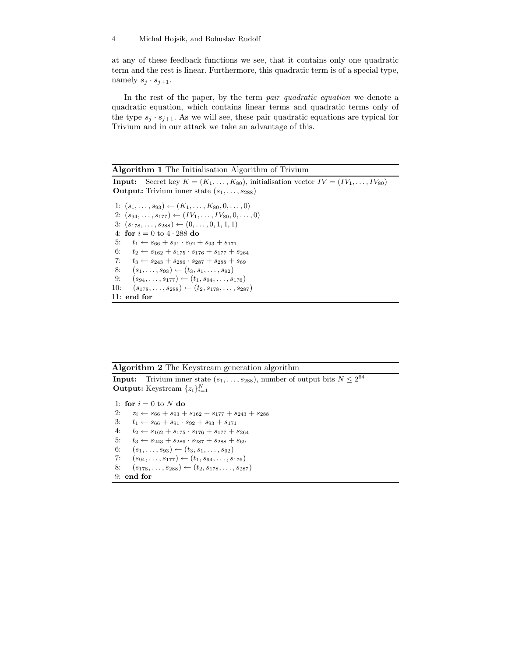at any of these feedback functions we see, that it contains only one quadratic term and the rest is linear. Furthermore, this quadratic term is of a special type, namely  $s_i \cdot s_{i+1}$ .

In the rest of the paper, by the term pair quadratic equation we denote a quadratic equation, which contains linear terms and quadratic terms only of the type  $s_i \cdot s_{i+1}$ . As we will see, these pair quadratic equations are typical for Trivium and in our attack we take an advantage of this.

#### Algorithm 1 The Initialisation Algorithm of Trivium

**Input:** Secret key  $K = (K_1, \ldots, K_{80})$ , initialisation vector  $IV = (IV_1, \ldots, IV_{80})$ **Output:** Trivium inner state  $(s_1, \ldots, s_{288})$ 1:  $(s_1, \ldots, s_{93}) \leftarrow (K_1, \ldots, K_{80}, 0, \ldots, 0)$ 2:  $(s_{94}, \ldots, s_{177}) \leftarrow (IV_1, \ldots, IV_{80}, 0, \ldots, 0)$ 3:  $(s_{178}, \ldots, s_{288}) \leftarrow (0, \ldots, 0, 1, 1, 1)$ 4: for  $i = 0$  to  $4 \cdot 288$  do 5:  $t_1 \leftarrow s_{66} + s_{91} \cdot s_{92} + s_{93} + s_{171}$ 6:  $t_2 \leftarrow s_{162} + s_{175} \cdot s_{176} + s_{177} + s_{264}$ 7:  $t_3 \leftarrow s_{243} + s_{286} \cdot s_{287} + s_{288} + s_{69}$ 8:  $(s_1, \ldots, s_{93}) \leftarrow (t_3, s_1, \ldots, s_{92})$ 9:  $(s_{94}, \ldots, s_{177}) \leftarrow (t_1, s_{94}, \ldots, s_{176})$ 10:  $(s_{178}, \ldots, s_{288}) \leftarrow (t_2, s_{178}, \ldots, s_{287})$ 11: end for

#### Algorithm 2 The Keystream generation algorithm

**Input:** Trivium inner state  $(s_1, \ldots, s_{288})$ , number of output bits  $N \leq 2^{64}$ **Output:** Keystream  $\{z_i\}_{i=1}^N$ 

1: for  $i = 0$  to N do 2:  $z_i \leftarrow s_{66} + s_{93} + s_{162} + s_{177} + s_{243} + s_{288}$ 3:  $t_1 \leftarrow s_{66} + s_{91} \cdot s_{92} + s_{93} + s_{171}$ 4:  $t_2 \leftarrow s_{162} + s_{175} \cdot s_{176} + s_{177} + s_{264}$ 5:  $t_3 \leftarrow s_{243} + s_{286} \cdot s_{287} + s_{288} + s_{69}$ 6:  $(s_1, \ldots, s_{93}) \leftarrow (t_3, s_1, \ldots, s_{92})$ 7:  $(s_{94}, \ldots, s_{177}) \leftarrow (t_1, s_{94}, \ldots, s_{176})$ 8:  $(s_{178}, \ldots, s_{288}) \leftarrow (t_2, s_{178}, \ldots, s_{287})$ 9: end for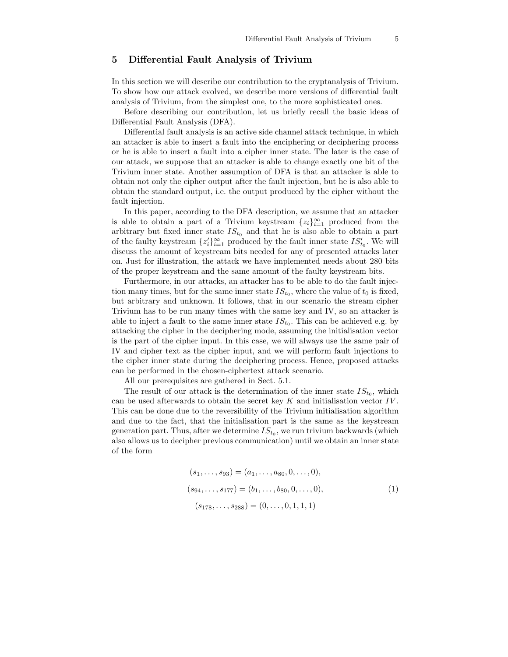# 5 Differential Fault Analysis of Trivium

In this section we will describe our contribution to the cryptanalysis of Trivium. To show how our attack evolved, we describe more versions of differential fault analysis of Trivium, from the simplest one, to the more sophisticated ones.

Before describing our contribution, let us briefly recall the basic ideas of Differential Fault Analysis (DFA).

Differential fault analysis is an active side channel attack technique, in which an attacker is able to insert a fault into the enciphering or deciphering process or he is able to insert a fault into a cipher inner state. The later is the case of our attack, we suppose that an attacker is able to change exactly one bit of the Trivium inner state. Another assumption of DFA is that an attacker is able to obtain not only the cipher output after the fault injection, but he is also able to obtain the standard output, i.e. the output produced by the cipher without the fault injection.

In this paper, according to the DFA description, we assume that an attacker is able to obtain a part of a Trivium keystream  $\{z_i\}_{i=1}^{\infty}$  produced from the arbitrary but fixed inner state  $IS_{t_0}$  and that he is also able to obtain a part of the faulty keystream  $\{z_i'\}_{i=1}^{\infty}$  produced by the fault inner state  $IS'_{t_0}$ . We will discuss the amount of keystream bits needed for any of presented attacks later on. Just for illustration, the attack we have implemented needs about 280 bits of the proper keystream and the same amount of the faulty keystream bits.

Furthermore, in our attacks, an attacker has to be able to do the fault injection many times, but for the same inner state  $IS_{t_0}$ , where the value of  $t_0$  is fixed, but arbitrary and unknown. It follows, that in our scenario the stream cipher Trivium has to be run many times with the same key and IV, so an attacker is able to inject a fault to the same inner state  $IS_{t_0}$ . This can be achieved e.g. by attacking the cipher in the deciphering mode, assuming the initialisation vector is the part of the cipher input. In this case, we will always use the same pair of IV and cipher text as the cipher input, and we will perform fault injections to the cipher inner state during the deciphering process. Hence, proposed attacks can be performed in the chosen-ciphertext attack scenario.

All our prerequisites are gathered in Sect. 5.1.

The result of our attack is the determination of the inner state  $IS_{t_0}$ , which can be used afterwards to obtain the secret key  $K$  and initialisation vector  $IV$ . This can be done due to the reversibility of the Trivium initialisation algorithm and due to the fact, that the initialisation part is the same as the keystream generation part. Thus, after we determine  $IS_{t_0}$ , we run trivium backwards (which also allows us to decipher previous communication) until we obtain an inner state of the form

$$
(s_1, \ldots, s_{93}) = (a_1, \ldots, a_{80}, 0, \ldots, 0),
$$
  
\n
$$
(s_{94}, \ldots, s_{177}) = (b_1, \ldots, b_{80}, 0, \ldots, 0),
$$
  
\n
$$
(s_{178}, \ldots, s_{288}) = (0, \ldots, 0, 1, 1, 1)
$$
  
\n(1)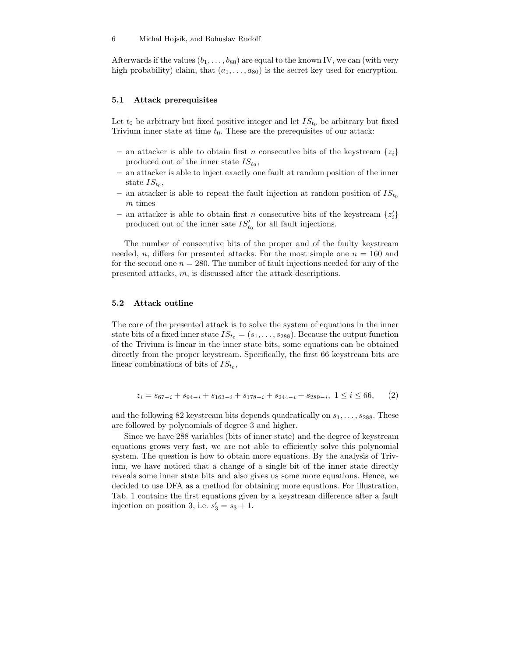Afterwards if the values  $(b_1, \ldots, b_{80})$  are equal to the known IV, we can (with very high probability) claim, that  $(a_1, \ldots, a_{80})$  is the secret key used for encryption.

#### 5.1 Attack prerequisites

Let  $t_0$  be arbitrary but fixed positive integer and let  $IS_{t_0}$  be arbitrary but fixed Trivium inner state at time  $t_0$ . These are the prerequisites of our attack:

- an attacker is able to obtain first *n* consecutive bits of the keystream  $\{z_i\}$ produced out of the inner state  $IS_{t_0}$ ,
- an attacker is able to inject exactly one fault at random position of the inner state  $IS_{t_0}$ ,
- an attacker is able to repeat the fault injection at random position of  $IS_{t_0}$ m times
- an attacker is able to obtain first n consecutive bits of the keystream  $\{z'_i\}$ produced out of the inner sate  $IS'_{t_0}$  for all fault injections.

The number of consecutive bits of the proper and of the faulty keystream needed, n, differs for presented attacks. For the most simple one  $n = 160$  and for the second one  $n = 280$ . The number of fault injections needed for any of the presented attacks, m, is discussed after the attack descriptions.

#### 5.2 Attack outline

The core of the presented attack is to solve the system of equations in the inner state bits of a fixed inner state  $IS_{t_0} = (s_1, \ldots, s_{288})$ . Because the output function of the Trivium is linear in the inner state bits, some equations can be obtained directly from the proper keystream. Specifically, the first 66 keystream bits are linear combinations of bits of  $IS_{t_0}$ ,

$$
z_i = s_{67-i} + s_{94-i} + s_{163-i} + s_{178-i} + s_{244-i} + s_{289-i}, \ 1 \le i \le 66, \qquad (2)
$$

and the following 82 keystream bits depends quadratically on  $s_1, \ldots, s_{288}$ . These are followed by polynomials of degree 3 and higher.

Since we have 288 variables (bits of inner state) and the degree of keystream equations grows very fast, we are not able to efficiently solve this polynomial system. The question is how to obtain more equations. By the analysis of Trivium, we have noticed that a change of a single bit of the inner state directly reveals some inner state bits and also gives us some more equations. Hence, we decided to use DFA as a method for obtaining more equations. For illustration, Tab. 1 contains the first equations given by a keystream difference after a fault injection on position 3, i.e.  $s'_3 = s_3 + 1$ .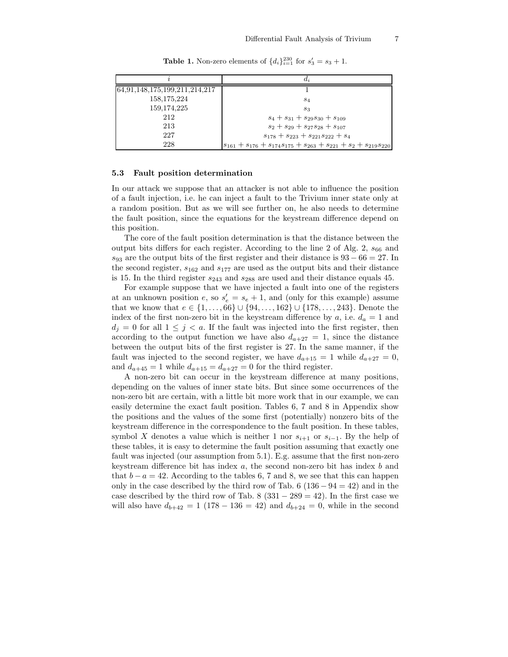|                               | $d_i$                                                                             |
|-------------------------------|-----------------------------------------------------------------------------------|
| 64,91,148,175,199,211,214,217 |                                                                                   |
| 158,175,224                   | $s_4$                                                                             |
| 159, 174, 225                 | $S_3$                                                                             |
| 212                           | $s_4 + s_{31} + s_{29}s_{30} + s_{109}$                                           |
| 213                           | $s_2 + s_{29} + s_{27}s_{28} + s_{107}$                                           |
| 227                           | $s_{178} + s_{223} + s_{221}s_{222} + s_4$                                        |
| 228                           | $ s_{161} + s_{176} + s_{174}s_{175} + s_{263} + s_{221} + s_2 + s_{219}s_{220} $ |

**Table 1.** Non-zero elements of  $\{d_i\}_{i=1}^{230}$  for  $s'_3 = s_3 + 1$ .

## 5.3 Fault position determination

In our attack we suppose that an attacker is not able to influence the position of a fault injection, i.e. he can inject a fault to the Trivium inner state only at a random position. But as we will see further on, he also needs to determine the fault position, since the equations for the keystream difference depend on this position.

The core of the fault position determination is that the distance between the output bits differs for each register. According to the line 2 of Alg.  $2, s_{66}$  and  $s_{93}$  are the output bits of the first register and their distance is  $93 - 66 = 27$ . In the second register,  $s_{162}$  and  $s_{177}$  are used as the output bits and their distance is 15. In the third register  $s_{243}$  and  $s_{288}$  are used and their distance equals 45.

For example suppose that we have injected a fault into one of the registers at an unknown position  $e$ , so  $s'_e = s_e + 1$ , and (only for this example) assume that we know that  $e \in \{1, \ldots, 66\} \cup \{94, \ldots, 162\} \cup \{178, \ldots, 243\}.$  Denote the index of the first non-zero bit in the keystream difference by  $a$ , i.e.  $d_a = 1$  and  $d_j = 0$  for all  $1 \leq j < a$ . If the fault was injected into the first register, then according to the output function we have also  $d_{a+27} = 1$ , since the distance between the output bits of the first register is 27. In the same manner, if the fault was injected to the second register, we have  $d_{a+15} = 1$  while  $d_{a+27} = 0$ , and  $d_{a+45} = 1$  while  $d_{a+15} = d_{a+27} = 0$  for the third register.

A non-zero bit can occur in the keystream difference at many positions, depending on the values of inner state bits. But since some occurrences of the non-zero bit are certain, with a little bit more work that in our example, we can easily determine the exact fault position. Tables 6, 7 and 8 in Appendix show the positions and the values of the some first (potentially) nonzero bits of the keystream difference in the correspondence to the fault position. In these tables, symbol X denotes a value which is neither 1 nor  $s_{i+1}$  or  $s_{i-1}$ . By the help of these tables, it is easy to determine the fault position assuming that exactly one fault was injected (our assumption from 5.1). E.g. assume that the first non-zero keystream difference bit has index  $a$ , the second non-zero bit has index  $b$  and that  $b - a = 42$ . According to the tables 6, 7 and 8, we see that this can happen only in the case described by the third row of Tab. 6  $(136 - 94 = 42)$  and in the case described by the third row of Tab. 8  $(331 - 289 = 42)$ . In the first case we will also have  $d_{b+42} = 1$  (178 – 136 = 42) and  $d_{b+24} = 0$ , while in the second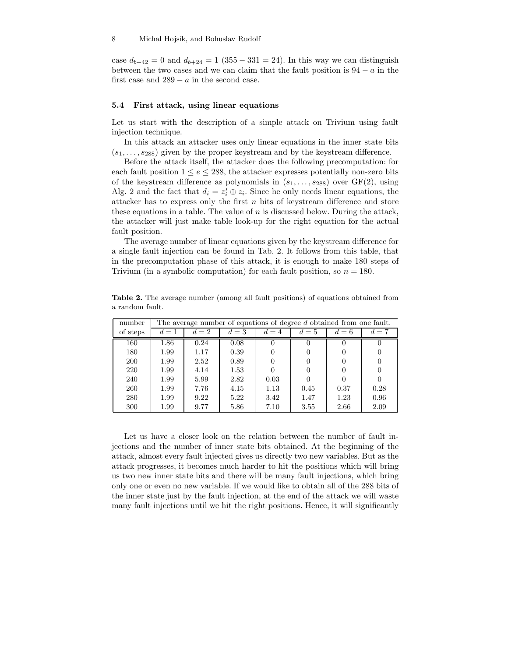case  $d_{b+42} = 0$  and  $d_{b+24} = 1$  (355 – 331 = 24). In this way we can distinguish between the two cases and we can claim that the fault position is  $94 - a$  in the first case and  $289 - a$  in the second case.

## 5.4 First attack, using linear equations

Let us start with the description of a simple attack on Trivium using fault injection technique.

In this attack an attacker uses only linear equations in the inner state bits  $(s_1, \ldots, s_{288})$  given by the proper keystream and by the keystream difference.

Before the attack itself, the attacker does the following precomputation: for each fault position  $1 \le e \le 288$ , the attacker expresses potentially non-zero bits of the keystream difference as polynomials in  $(s_1, \ldots, s_{288})$  over  $GF(2)$ , using Alg. 2 and the fact that  $d_i = z_i' \oplus z_i$ . Since he only needs linear equations, the attacker has to express only the first  $n$  bits of keystream difference and store these equations in a table. The value of  $n$  is discussed below. During the attack, the attacker will just make table look-up for the right equation for the actual fault position.

The average number of linear equations given by the keystream difference for a single fault injection can be found in Tab. 2. It follows from this table, that in the precomputation phase of this attack, it is enough to make 180 steps of Trivium (in a symbolic computation) for each fault position, so  $n = 180$ .

Table 2. The average number (among all fault positions) of equations obtained from a random fault.

| number     |      |       |       |          |      |       | The average number of equations of degree d obtained from one fault. |  |  |  |
|------------|------|-------|-------|----------|------|-------|----------------------------------------------------------------------|--|--|--|
| of steps   | $=1$ | $d=2$ | $d=3$ | $d=4$    | $=5$ | $d=6$ | $=7$                                                                 |  |  |  |
| 160        | 1.86 | 0.24  | 0.08  | $\theta$ |      |       |                                                                      |  |  |  |
| 180        | 1.99 | 1.17  | 0.39  |          |      |       |                                                                      |  |  |  |
| <b>200</b> | 1.99 | 2.52  | 0.89  |          |      |       |                                                                      |  |  |  |
| 220        | 1.99 | 4.14  | 1.53  |          |      |       | $\left( \right)$                                                     |  |  |  |
| 240        | 1.99 | 5.99  | 2.82  | 0.03     |      |       |                                                                      |  |  |  |
| 260        | 1.99 | 7.76  | 4.15  | 1.13     | 0.45 | 0.37  | 0.28                                                                 |  |  |  |
| 280        | 1.99 | 9.22  | 5.22  | 3.42     | 1.47 | 1.23  | 0.96                                                                 |  |  |  |
| 300        | 1.99 | 9.77  | 5.86  | 7.10     | 3.55 | 2.66  | 2.09                                                                 |  |  |  |

Let us have a closer look on the relation between the number of fault injections and the number of inner state bits obtained. At the beginning of the attack, almost every fault injected gives us directly two new variables. But as the attack progresses, it becomes much harder to hit the positions which will bring us two new inner state bits and there will be many fault injections, which bring only one or even no new variable. If we would like to obtain all of the 288 bits of the inner state just by the fault injection, at the end of the attack we will waste many fault injections until we hit the right positions. Hence, it will significantly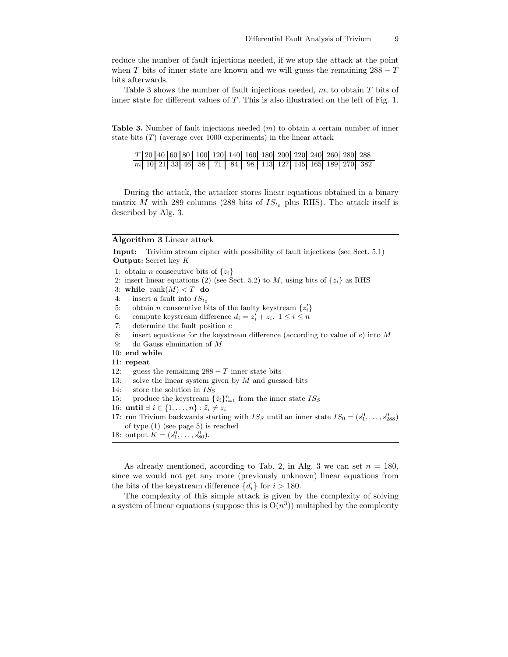reduce the number of fault injections needed, if we stop the attack at the point when T bits of inner state are known and we will guess the remaining  $288 - T$ bits afterwards.

Table 3 shows the number of fault injections needed,  $m$ , to obtain  $T$  bits of inner state for different values of  $T$ . This is also illustrated on the left of Fig. 1.

**Table 3.** Number of fault injections needed  $(m)$  to obtain a certain number of inner state bits  $(T)$  (average over 1000 experiments) in the linear attack

|  |  |  |  |  |  |  | $T[20 40 60 80 100 120 140 160 180 200 220 240 260 280 288]$    |
|--|--|--|--|--|--|--|-----------------------------------------------------------------|
|  |  |  |  |  |  |  | $\boxed{m}$ 10 21 33 46 58 71 84 98 113 127 145 165 189 270 382 |

During the attack, the attacker stores linear equations obtained in a binary matrix M with 289 columns (288 bits of  $IS_{t_0}$  plus RHS). The attack itself is described by Alg. 3.

### Algorithm 3 Linear attack

Input: Trivium stream cipher with possibility of fault injections (see Sect. 5.1) Output: Secret key K

1: obtain *n* consecutive bits of  $\{z_i\}$ 

- 2: insert linear equations (2) (see Sect. 5.2) to M, using bits of  $\{z_i\}$  as RHS
- 3: while rank $(M) < T$  do
- 4: insert a fault into  $IS_{t_0}$
- 5: obtain *n* consecutive bits of the faulty keystream  $\{z_i'\}$
- 6: compute keystream difference  $d_i = z'_i + z_i, \ 1 \leq i \leq n$
- 7: determine the fault position  $e$
- 8: insert equations for the keystream difference (according to value of  $e$ ) into M
- 9: do Gauss elimination of M
- 10: end while
- 11: repeat
- 12: guess the remaining  $288 T$  inner state bits
- 13: solve the linear system given by  $M$  and guessed bits
- 14: store the solution in  $IS_{S}$
- 15: produce the keystream  $\{\tilde{z}_i\}_{i=1}^n$  from the inner state  $IS_S$
- 16: **until** ∃  $i \in \{1, \ldots, n\}$  :  $\tilde{z}_i \neq z_i$
- 17: run Trivium backwards starting with  $IS_S$  until an inner state  $IS_0 = (s_1^0, \ldots, s_{288}^0)$ of type (1) (see page 5) is reached
- 18: output  $K = (s_1^0, \ldots, s_{80}^0)$ .

As already mentioned, according to Tab. 2, in Alg. 3 we can set  $n = 180$ , since we would not get any more (previously unknown) linear equations from the bits of the keystream difference  $\{d_i\}$  for  $i > 180$ .

The complexity of this simple attack is given by the complexity of solving a system of linear equations (suppose this is  $O(n^3)$ ) multiplied by the complexity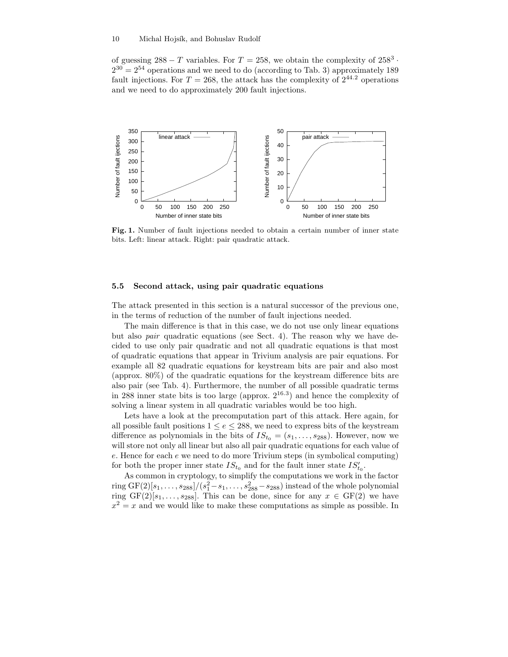of guessing  $288 - T$  variables. For  $T = 258$ , we obtain the complexity of  $258<sup>3</sup>$ .  $2^{30} = 2^{54}$  operations and we need to do (according to Tab. 3) approximately 189 fault injections. For  $T = 268$ , the attack has the complexity of  $2^{44.2}$  operations and we need to do approximately 200 fault injections.



Fig. 1. Number of fault injections needed to obtain a certain number of inner state bits. Left: linear attack. Right: pair quadratic attack.

## 5.5 Second attack, using pair quadratic equations

The attack presented in this section is a natural successor of the previous one, in the terms of reduction of the number of fault injections needed.

The main difference is that in this case, we do not use only linear equations but also pair quadratic equations (see Sect. 4). The reason why we have decided to use only pair quadratic and not all quadratic equations is that most of quadratic equations that appear in Trivium analysis are pair equations. For example all 82 quadratic equations for keystream bits are pair and also most (approx. 80%) of the quadratic equations for the keystream difference bits are also pair (see Tab. 4). Furthermore, the number of all possible quadratic terms in 288 inner state bits is too large (approx.  $2^{16.3}$ ) and hence the complexity of solving a linear system in all quadratic variables would be too high.

Lets have a look at the precomputation part of this attack. Here again, for all possible fault positions  $1 \le e \le 288$ , we need to express bits of the keystream difference as polynomials in the bits of  $IS_{t_0} = (s_1, \ldots, s_{288})$ . However, now we will store not only all linear but also all pair quadratic equations for each value of  $e$ . Hence for each  $e$  we need to do more Trivium steps (in symbolical computing) for both the proper inner state  $IS_{t_0}$  and for the fault inner state  $IS'_{t_0}$ .

As common in cryptology, to simplify the computations we work in the factor ring GF(2)[ $s_1, \ldots, s_{288}$ ]/( $s_1^2 - s_1, \ldots, s_{288}^2 - s_{288}$ ) instead of the whole polynomial ring  $GF(2)[s_1, \ldots, s_{288}]$ . This can be done, since for any  $x \in GF(2)$  we have  $x^2 = x$  and we would like to make these computations as simple as possible. In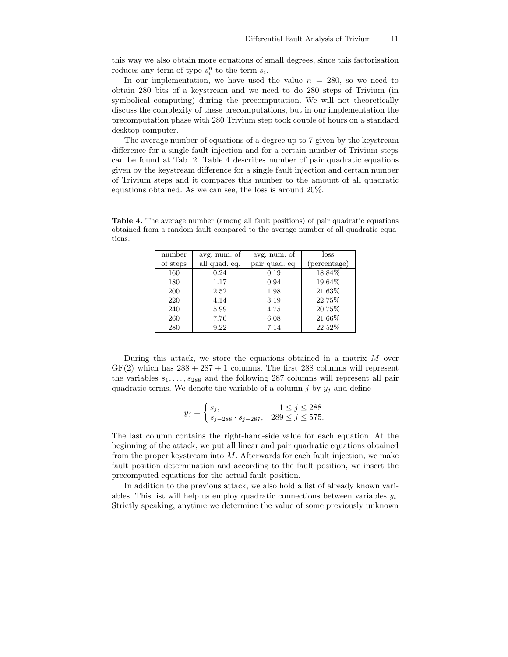this way we also obtain more equations of small degrees, since this factorisation reduces any term of type  $s_i^n$  to the term  $s_i$ .

In our implementation, we have used the value  $n = 280$ , so we need to obtain 280 bits of a keystream and we need to do 280 steps of Trivium (in symbolical computing) during the precomputation. We will not theoretically discuss the complexity of these precomputations, but in our implementation the precomputation phase with 280 Trivium step took couple of hours on a standard desktop computer.

The average number of equations of a degree up to 7 given by the keystream difference for a single fault injection and for a certain number of Trivium steps can be found at Tab. 2. Table 4 describes number of pair quadratic equations given by the keystream difference for a single fault injection and certain number of Trivium steps and it compares this number to the amount of all quadratic equations obtained. As we can see, the loss is around 20%.

Table 4. The average number (among all fault positions) of pair quadratic equations obtained from a random fault compared to the average number of all quadratic equations.

| number   | avg. num. of  | avg. num. of   | loss         |
|----------|---------------|----------------|--------------|
| of steps | all quad. eq. | pair quad. eq. | (percentage) |
| 160      | 0.24          | 0.19           | 18.84\%      |
| 180      | 1.17          | 0.94           | 19.64\%      |
| 200      | 2.52          | 1.98           | 21.63%       |
| 220      | 4.14          | 3.19           | 22.75%       |
| 240      | 5.99          | 4.75           | 20.75\%      |
| 260      | 7.76          | 6.08           | 21.66%       |
| 280      | 9.22          | 7.14           | 22.52%       |

During this attack, we store the equations obtained in a matrix  $M$  over  $GF(2)$  which has  $288 + 287 + 1$  columns. The first 288 columns will represent the variables  $s_1, \ldots, s_{288}$  and the following 287 columns will represent all pair quadratic terms. We denote the variable of a column j by  $y_j$  and define

$$
y_j = \begin{cases} s_j, & 1 \le j \le 288 \\ s_{j-288} \cdot s_{j-287}, & 289 \le j \le 575. \end{cases}
$$

The last column contains the right-hand-side value for each equation. At the beginning of the attack, we put all linear and pair quadratic equations obtained from the proper keystream into  $M$ . Afterwards for each fault injection, we make fault position determination and according to the fault position, we insert the precomputed equations for the actual fault position.

In addition to the previous attack, we also hold a list of already known variables. This list will help us employ quadratic connections between variables  $y_i$ . Strictly speaking, anytime we determine the value of some previously unknown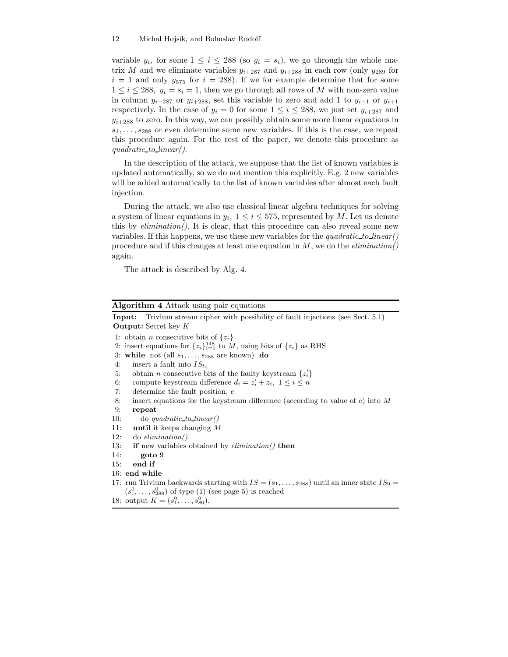variable  $y_i$ , for some  $1 \leq i \leq 288$  (so  $y_i = s_i$ ), we go through the whole matrix M and we eliminate variables  $y_{i+287}$  and  $y_{i+288}$  in each row (only  $y_{289}$  for  $i = 1$  and only  $y_{575}$  for  $i = 288$ ). If we for example determine that for some  $1 \leq i \leq 288$ ,  $y_i = s_i = 1$ , then we go through all rows of M with non-zero value in column  $y_{i+287}$  or  $y_{i+288}$ , set this variable to zero and add 1 to  $y_{i-1}$  or  $y_{i+1}$ respectively. In the case of  $y_i = 0$  for some  $1 \leq i \leq 288$ , we just set  $y_{i+287}$  and  $y_{i+288}$  to zero. In this way, we can possibly obtain some more linear equations in  $s_1, \ldots, s_{288}$  or even determine some new variables. If this is the case, we repeat this procedure again. For the rest of the paper, we denote this procedure as quadratic to linear().

In the description of the attack, we suppose that the list of known variables is updated automatically, so we do not mention this explicitly. E.g. 2 new variables will be added automatically to the list of known variables after almost each fault injection.

During the attack, we also use classical linear algebra techniques for solving a system of linear equations in  $y_i$ ,  $1 \le i \le 575$ , represented by M. Let us denote this by  $elimination()$ . It is clear, that this procedure can also reveal some new variables. If this happens, we use these new variables for the quadratic to linear() procedure and if this changes at least one equation in  $M$ , we do the *elimination*() again.

The attack is described by Alg. 4.

| Algorithm 4 Attack using pair equations |  |  |  |
|-----------------------------------------|--|--|--|
|                                         |  |  |  |

|     | <b>Input:</b> Trivium stream cipher with possibility of fault injections (see Sect. 5.1)            |
|-----|-----------------------------------------------------------------------------------------------------|
|     | <b>Output:</b> Secret key $K$                                                                       |
|     | 1: obtain <i>n</i> consecutive bits of $\{z_i\}$                                                    |
|     | 2: insert equations for $\{z_i\}_{i=1}^{148}$ to M, using bits of $\{z_i\}$ as RHS                  |
|     | 3: while not (all $s_1, \ldots, s_{288}$ are known) do                                              |
| 4:  | insert a fault into $IS_{t_0}$                                                                      |
| 5:  | obtain <i>n</i> consecutive bits of the faulty keystream $\{z_i\}$                                  |
| 6:  | compute keystream difference $d_i = z'_i + z_i, \ 1 \leq i \leq n$                                  |
| 7:  | determine the fault position, e                                                                     |
| 8:  | insert equations for the keystream difference (according to value of $e$ ) into M                   |
| 9:  | repeat                                                                                              |
| 10: | $\phi$ do quadratic to linear()                                                                     |
| 11: | until it keeps changing $M$                                                                         |
| 12: | $\omega$ do <i>elimination</i> ()                                                                   |
| 13: | <b>if</b> new variables obtained by <i>elimination</i> () <b>then</b>                               |
| 14: | goto 9                                                                                              |
| 15. | end if                                                                                              |
|     | 16: end while                                                                                       |
|     | 17: run Trivium backwards starting with $IS = (s_1, \ldots, s_{288})$ until an inner state $IS_0 =$ |
|     | $(s_1^0, \ldots, s_{288}^0)$ of type (1) (see page 5) is reached                                    |
|     | 18: output $K = (s_1^0, \ldots, s_{80}^0)$ .                                                        |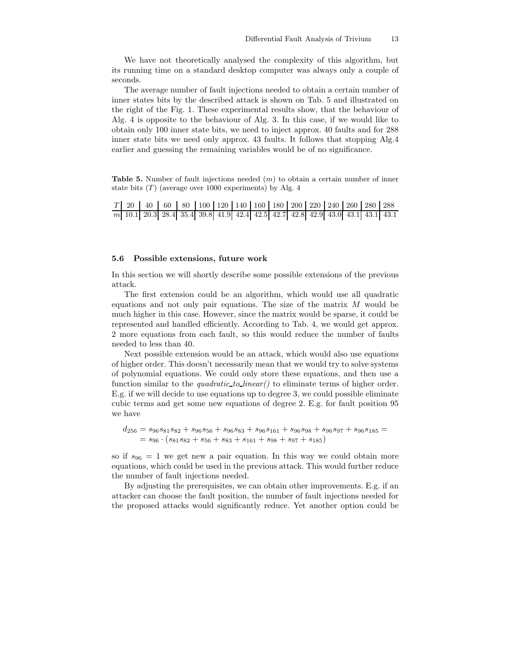We have not theoretically analysed the complexity of this algorithm, but its running time on a standard desktop computer was always only a couple of seconds.

The average number of fault injections needed to obtain a certain number of inner states bits by the described attack is shown on Tab. 5 and illustrated on the right of the Fig. 1. These experimental results show, that the behaviour of Alg. 4 is opposite to the behaviour of Alg. 3. In this case, if we would like to obtain only 100 inner state bits, we need to inject approx. 40 faults and for 288 inner state bits we need only approx. 43 faults. It follows that stopping Alg.4 earlier and guessing the remaining variables would be of no significance.

**Table 5.** Number of fault injections needed  $(m)$  to obtain a certain number of inner state bits  $(T)$  (average over 1000 experiments) by Alg. 4

|  |  | $T$   20   40   60   80   100   120   140   160   180   200   220   240   260   280   288 |  |  |  |  |  |
|--|--|-------------------------------------------------------------------------------------------|--|--|--|--|--|
|  |  | m 10.1 20.3 28.4 35.4 39.8 41.9 42.4 42.5 42.7 42.8 42.9 43.0 43.1 43.1 43.1              |  |  |  |  |  |

## 5.6 Possible extensions, future work

In this section we will shortly describe some possible extensions of the previous attack.

The first extension could be an algorithm, which would use all quadratic equations and not only pair equations. The size of the matrix  $M$  would be much higher in this case. However, since the matrix would be sparse, it could be represented and handled efficiently. According to Tab. 4, we would get approx. 2 more equations from each fault, so this would reduce the number of faults needed to less than 40.

Next possible extension would be an attack, which would also use equations of higher order. This doesn't necessarily mean that we would try to solve systems of polynomial equations. We could only store these equations, and then use a function similar to the *quadratic to linear*() to eliminate terms of higher order. E.g. if we will decide to use equations up to degree 3, we could possible eliminate cubic terms and get some new equations of degree 2. E.g. for fault position 95 we have

$$
d_{256} = s_{96}s_{81}s_{82} + s_{96}s_{56} + s_{96}s_{83} + s_{96}s_{161} + s_{96}s_{98} + s_{96}s_{97} + s_{96}s_{185} =
$$
  
=  $s_{96} \cdot (s_{81}s_{82} + s_{56} + s_{83} + s_{161} + s_{98} + s_{97} + s_{185})$ 

so if  $s_{96} = 1$  we get new a pair equation. In this way we could obtain more equations, which could be used in the previous attack. This would further reduce the number of fault injections needed.

By adjusting the prerequisites, we can obtain other improvements. E.g. if an attacker can choose the fault position, the number of fault injections needed for the proposed attacks would significantly reduce. Yet another option could be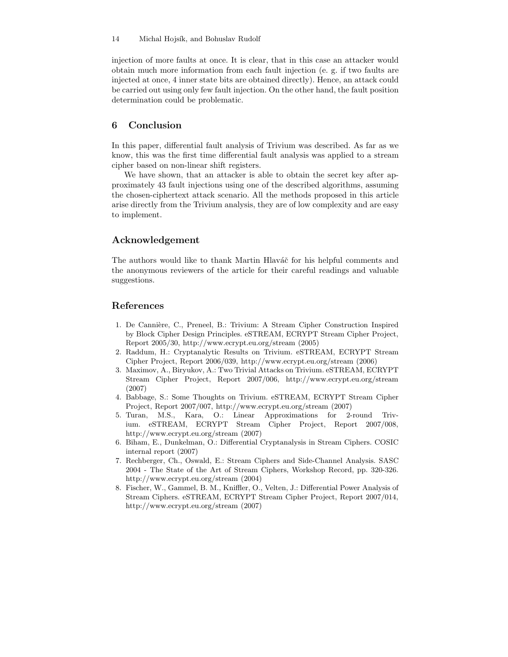injection of more faults at once. It is clear, that in this case an attacker would obtain much more information from each fault injection (e. g. if two faults are injected at once, 4 inner state bits are obtained directly). Hence, an attack could be carried out using only few fault injection. On the other hand, the fault position determination could be problematic.

## 6 Conclusion

In this paper, differential fault analysis of Trivium was described. As far as we know, this was the first time differential fault analysis was applied to a stream cipher based on non-linear shift registers.

We have shown, that an attacker is able to obtain the secret key after approximately 43 fault injections using one of the described algorithms, assuming the chosen-ciphertext attack scenario. All the methods proposed in this article arise directly from the Trivium analysis, they are of low complexity and are easy to implement.

# Acknowledgement

The authors would like to thank Martin Hlaváč for his helpful comments and the anonymous reviewers of the article for their careful readings and valuable suggestions.

## References

- 1. De Cannière, C., Preneel, B.: Trivium: A Stream Cipher Construction Inspired by Block Cipher Design Principles. eSTREAM, ECRYPT Stream Cipher Project, Report 2005/30, http://www.ecrypt.eu.org/stream (2005)
- 2. Raddum, H.: Cryptanalytic Results on Trivium. eSTREAM, ECRYPT Stream Cipher Project, Report 2006/039, http://www.ecrypt.eu.org/stream (2006)
- 3. Maximov, A., Biryukov, A.: Two Trivial Attacks on Trivium. eSTREAM, ECRYPT Stream Cipher Project, Report 2007/006, http://www.ecrypt.eu.org/stream (2007)
- 4. Babbage, S.: Some Thoughts on Trivium. eSTREAM, ECRYPT Stream Cipher Project, Report 2007/007, http://www.ecrypt.eu.org/stream (2007)
- 5. Turan, M.S., Kara, O.: Linear Approximations for 2-round Trivium. eSTREAM, ECRYPT Stream Cipher Project, Report 2007/008, http://www.ecrypt.eu.org/stream (2007)
- 6. Biham, E., Dunkelman, O.: Differential Cryptanalysis in Stream Ciphers. COSIC internal report (2007)
- 7. Rechberger, Ch., Oswald, E.: Stream Ciphers and Side-Channel Analysis. SASC 2004 - The State of the Art of Stream Ciphers, Workshop Record, pp. 320-326. http://www.ecrypt.eu.org/stream (2004)
- 8. Fischer, W., Gammel, B. M., Kniffler, O., Velten, J.: Differential Power Analysis of Stream Ciphers. eSTREAM, ECRYPT Stream Cipher Project, Report 2007/014, http://www.ecrypt.eu.org/stream (2007)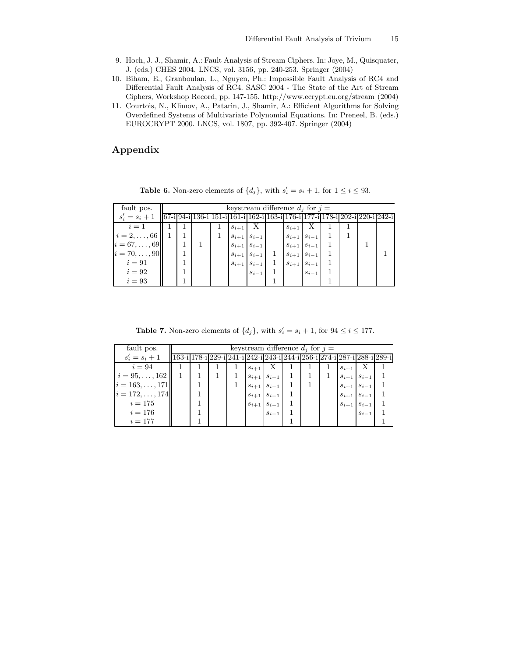- 9. Hoch, J. J., Shamir, A.: Fault Analysis of Stream Ciphers. In: Joye, M., Quisquater, J. (eds.) CHES 2004. LNCS, vol. 3156, pp. 240-253. Springer (2004)
- 10. Biham, E., Granboulan, L., Nguyen, Ph.: Impossible Fault Analysis of RC4 and Differential Fault Analysis of RC4. SASC 2004 - The State of the Art of Stream Ciphers, Workshop Record, pp. 147-155. http://www.ecrypt.eu.org/stream (2004)
- 11. Courtois, N., Klimov, A., Patarin, J., Shamir, A.: Efficient Algorithms for Solving Overdefined Systems of Multivariate Polynomial Equations. In: Preneel, B. (eds.) EUROCRYPT 2000. LNCS, vol. 1807, pp. 392-407. Springer (2004)

# Appendix

| fault pos.                                                                                                                                                                                                                            | keystream difference $d_i$ for $i =$ |  |  |             |                         |  |                       |              |  |  |  |  |  |
|---------------------------------------------------------------------------------------------------------------------------------------------------------------------------------------------------------------------------------------|--------------------------------------|--|--|-------------|-------------------------|--|-----------------------|--------------|--|--|--|--|--|
| $s'_{i} = s_{i} + 1$ $\left  67 - i \right  94 - i \left  136 - i \right  151 - i \left  161 - i \right  162 - i \left  163 - i \right  176 - i \left  177 - i \right  178 - i \left  202 - i \right  220 - i \left  242 - i \right $ |                                      |  |  |             |                         |  |                       |              |  |  |  |  |  |
| $i=1$                                                                                                                                                                                                                                 |                                      |  |  | $s_{i+1}$ X |                         |  | $s_{i+1}$             | $\mathbf{X}$ |  |  |  |  |  |
| $i = 2, \ldots, 66$                                                                                                                                                                                                                   |                                      |  |  |             | $s_{i+1}$ $s_{i-1}$     |  | $s_{i+1}$ $s_{i-1}$   |              |  |  |  |  |  |
| $i = 67, \ldots, 69$                                                                                                                                                                                                                  |                                      |  |  |             | $s_{i+1}$ $s_{i-1}$     |  | $s_{i+1}   s_{i-1}  $ |              |  |  |  |  |  |
| $i = 70, \ldots, 90$                                                                                                                                                                                                                  |                                      |  |  |             | $s_{i+1}   s_{i-1}   1$ |  | $s_{i+1}$ $s_{i-1}$   |              |  |  |  |  |  |
| $i=91$                                                                                                                                                                                                                                |                                      |  |  |             | $s_{i+1}$ $s_{i-1}$     |  | $s_{i+1}$ $s_{i-1}$   |              |  |  |  |  |  |
| $i=92$                                                                                                                                                                                                                                |                                      |  |  |             | $S_{i-1}$               |  |                       | $S_{i-1}$    |  |  |  |  |  |
| $i=93$                                                                                                                                                                                                                                |                                      |  |  |             |                         |  |                       |              |  |  |  |  |  |

**Table 6.** Non-zero elements of  $\{d_j\}$ , with  $s'_i = s_i + 1$ , for  $1 \leq i \leq 93$ .

**Table 7.** Non-zero elements of  $\{d_j\}$ , with  $s'_i = s_i + 1$ , for  $94 \le i \le 177$ .

| fault pos.             | keystream difference $d_i$ for $i =$ |  |  |           |                     |                                                                         |  |  |           |                     |  |  |
|------------------------|--------------------------------------|--|--|-----------|---------------------|-------------------------------------------------------------------------|--|--|-----------|---------------------|--|--|
| $s'_i = s_i + 1$       |                                      |  |  |           |                     | 163-i 178-i 229-i 241-i 242-i 243-i 244-i 256-i 274-i 287-i 288-i 289-i |  |  |           |                     |  |  |
| $i=94$                 |                                      |  |  | $s_{i+1}$ | $\mathbf{X}$        |                                                                         |  |  | $s_{i+1}$ | X                   |  |  |
| $i = 95, \ldots, 162$  |                                      |  |  | $s_{i+1}$ | $s_{i-1}$           |                                                                         |  |  |           | $s_{i+1}$ $s_{i-1}$ |  |  |
| $i = 163, \ldots, 171$ |                                      |  |  |           | $s_{i+1}$ $s_{i-1}$ |                                                                         |  |  |           | $s_{i+1}$ $s_{i-1}$ |  |  |
| $ i=172,\ldots,174 $   |                                      |  |  |           | $s_{i+1}$ $s_{i-1}$ |                                                                         |  |  |           | $s_{i+1}$ $s_{i-1}$ |  |  |
| $i = 175$              |                                      |  |  |           | $s_{i+1}$ $s_{i-1}$ |                                                                         |  |  |           | $s_{i+1}$ $s_{i-1}$ |  |  |
| $i = 176$              |                                      |  |  |           | $S_{i-1}$           |                                                                         |  |  |           | $S_{i-1}$           |  |  |
| $i=177$                |                                      |  |  |           |                     |                                                                         |  |  |           |                     |  |  |